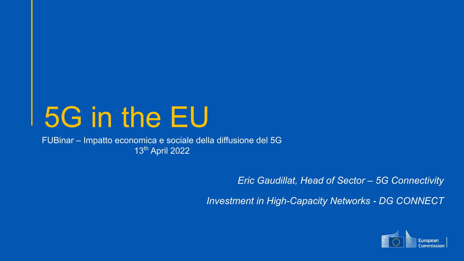# 5G in the EU

FUBinar – Impatto economica e sociale della diffusione del 5G 13th April 2022

*Eric Gaudillat, Head of Sector – 5G Connectivity*

*Investment in High-Capacity Networks - DG CONNECT*

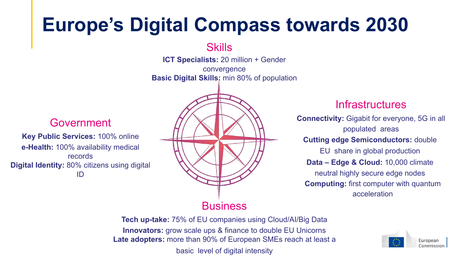# **Europe's Digital Compass towards 2030**

**Skills** 

**ICT Specialists:** 20 million + Gender

convergence **Basic Digital Skills:** min 80% of population

### Government

**Key Public Services:** 100% online **e-Health:** 100% availability medical records **Digital Identity:** 80% citizens using digital ID



#### **Infrastructures**

**Connectivity:** Gigabit for everyone, 5G in all populated areas **Cutting edge Semiconductors:** double EU share in global production **Data – Edge & Cloud:** 10,000 climate neutral highly secure edge nodes **Computing:** first computer with quantum acceleration

**Tech up-take:** 75% of EU companies using Cloud/AI/Big Data **Innovators:** grow scale ups & finance to double EU Unicorns **Late adopters:** more than 90% of European SMEs reach at least a basic level of digital intensity

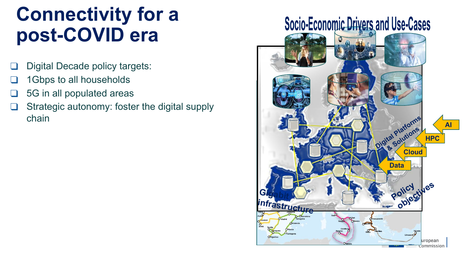# **Connectivity for a post-COVID era**

- Digital Decade policy targets:
- 1Gbps to all households
- ❑ 5G in all populated areas
- ❑ Strategic autonomy: foster the digital supply chain

### **Socio-Economic Drivers and Use-Cases**

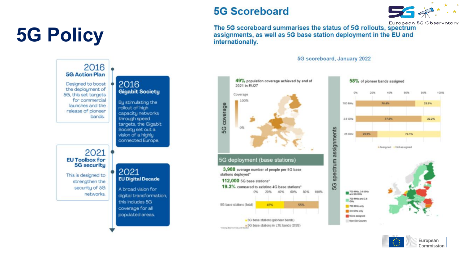# **5G Policy**

#### **5G Scoreboard**



European 5G Observatory

The 5G scoreboard summarises the status of 5G rollouts, spectrum assignments, as well as 5G base station deployment in the EU and internationally.

5G scoreboard, January 2022



European Commission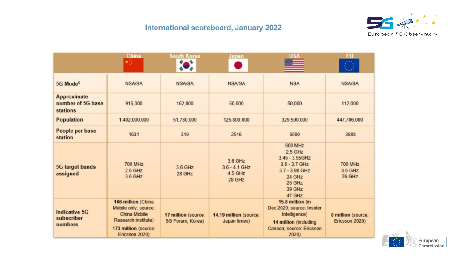

|                                                     | China                                                                                                                                     | <b>South Korea</b><br>*                 | Japan                                           |                                                                                                                              | <b>EU</b>                            |
|-----------------------------------------------------|-------------------------------------------------------------------------------------------------------------------------------------------|-----------------------------------------|-------------------------------------------------|------------------------------------------------------------------------------------------------------------------------------|--------------------------------------|
| 5G Mode <sup>6</sup>                                | <b>NSA/SA</b>                                                                                                                             | <b>NSA/SA</b>                           | <b>NSA/SA</b>                                   | <b>NSA</b>                                                                                                                   | <b>NSA/SA</b>                        |
| Approximate<br>number of 5G base<br><b>stations</b> | 916,000                                                                                                                                   | 162,000                                 | 50,000                                          | 50,000                                                                                                                       | 112,000                              |
| <b>Population</b>                                   | 1,402,000,000                                                                                                                             | 51,780,000                              | 125,800,000                                     | 329,500,000                                                                                                                  | 447,706,000                          |
| People per base<br>station                          | 1531                                                                                                                                      | 319                                     | 2516                                            | 6590                                                                                                                         | 3988                                 |
| <b>5G target bands</b><br>assigned                  | <b>700 MHz</b><br>$2.6$ GHz<br>3.6 GHz                                                                                                    | 3.6 GHz<br>28 GHz                       | 3.6 GHz<br>$3.6 - 4.1$ GHz<br>4.5 GHz<br>28 GHz | 600 MHz<br>$2.5$ GHz<br>$3.45 - 3.55$ GHz<br>$3.5 - 3.7$ GHz<br>3.7 - 3.98 GHz<br>24 GHz<br>28 GHz<br>39 GHz<br>47 GHz       | <b>700 MHz</b><br>3.6 GHz<br>26 GHz  |
| <b>Indicative 5G</b><br>subscriber<br>numbers       | 166 million (China<br>Mobile only; source:<br><b>China Mobile</b><br><b>Research Institute)</b><br>173 million (source:<br>Ericsson 2020) | 17 million (source:<br>5G Forum, Korea) | 14.19 million (source:<br>Japan times)          | 15.8 million (in<br>Dec 2020; source: Insider<br>Intelligence)<br>14 million (including<br>Canada; source: Ericsson<br>2020) | 8 million (source:<br>Ericsson 2020) |

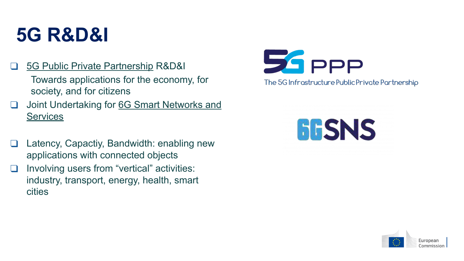# **5G R&D&I**

[5G Public Private Partnership](https://5g-ppp.eu/roadmaps/) R&D&I

Towards applications for the economy, for society, and for citizens

- ❑ Joint Undertaking for [6G Smart Networks and](https://digital-strategy.ec.europa.eu/en/policies/smart-networks-and-services-joint-undertaking) **[Services](https://digital-strategy.ec.europa.eu/en/policies/smart-networks-and-services-joint-undertaking)**
- ❑ Latency, Capactiy, Bandwidth: enabling new applications with connected objects
- ❑ Involving users from "vertical" activities: industry, transport, energy, health, smart cities



The 5G Infrastructure Public Private Partnership



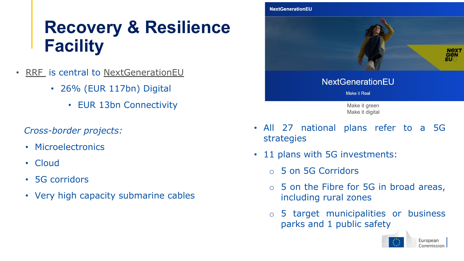### **Recovery & Resilience Facility**

- [RRF](https://ec.europa.eu/info/business-economy-euro/recovery-coronavirus/recovery-and-resilience-facility_en) is central to [NextGenerationEU](https://europa.eu/next-generation-eu/index_en)
	- 26% (EUR 117bn) Digital
		- EUR 13bn Connectivity

#### *Cross-border projects:*

- Microelectronics
- Cloud
- 5G corridors
- Very high capacity submarine cables



- All 27 national plans refer to a 5G strategies
- 11 plans with 5G investments:
	- o 5 on 5G Corridors
	- o 5 on the Fibre for 5G in broad areas, including rural zones
	- o 5 target municipalities or business parks and 1 public safety

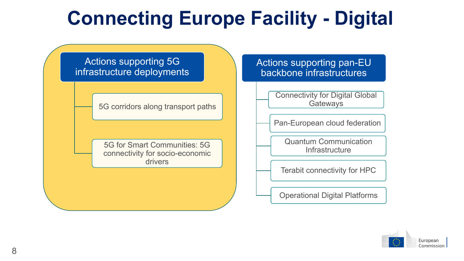# **Connecting Europe Facility - Digital**

Actions supporting 5G infrastructure deployments

5G corridors along transport paths

5G for Smart Communities: 5G connectivity for socio-economic drivers

#### Actions supporting pan-EU backbone infrastructures

Connectivity for Digital Global **Gateways** 

Pan-European cloud federation

Quantum Communication **Infrastructure** 

Terabit connectivity for HPC

Operational Digital Platforms

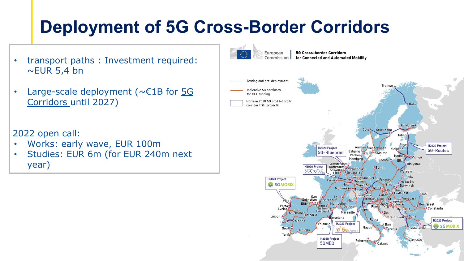### **Deployment of 5G Cross-Border Corridors**

- transport paths : Investment required:  $\sim$ EUR 5,4 bn
- Large-scale deployment ( $\sim \epsilon$ 1B for [5G](https://digital-strategy.ec.europa.eu/en/policies/cross-border-corridors) [Corridors](https://digital-strategy.ec.europa.eu/en/policies/cross-border-corridors) until 2027)
- 2022 open call:
- Works: early wave, EUR 100m
- Studies: EUR 6m (for EUR 240m next year)

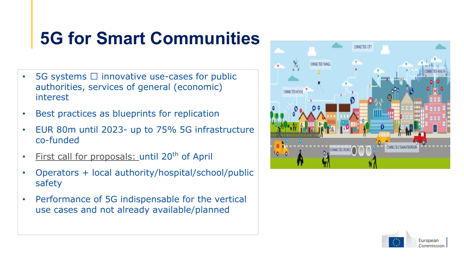### **5G for Smart Communities**

- 5G systems  $\Box$  innovative use-cases for public authorities, services of general (economic) interest
- Best practices as blueprints for replication
- EUR 80m until 2023- up to 75% 5G infrastructure co-funded
- [First call for proposals: u](https://digital-strategy.ec.europa.eu/en/funding/5g-smart-communities-works)ntil 20<sup>th</sup> of April
- Operators + local authority/hospital/school/public safety
- Performance of 5G indispensable for the vertical use cases and not already available/planned